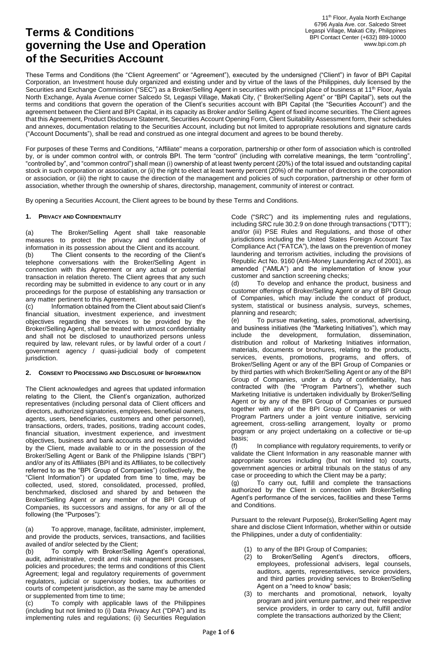## **Terms & Conditions governing the Use and Operation of the Securities Account**

These Terms and Conditions (the "Client Agreement" or "Agreement"), executed by the undersigned ("Client") in favor of BPI Capital Corporation, an Investment house duly organized and existing under and by virtue of the laws of the Philippines, duly licensed by the Securities and Exchange Commission ("SEC") as a Broker/Selling Agent in securities with principal place of business at 11<sup>th</sup> Floor, Ayala North Exchange, Ayala Avenue corner Salcedo St, Legaspi Village, Makati City, (" Broker/Selling Agent" or "BPI Capital"), sets out the terms and conditions that govern the operation of the Client's securities account with BPI Capital (the "Securities Account") and the agreement between the Client and BPI Capital, in its capacity as Broker and/or Selling Agent of fixed income securities. The Client agrees that this Agreement, Product Disclosure Statement, Securities Account Opening Form, Client Suitability Assessment form, their schedules and annexes, documentation relating to the Securities Account, including but not limited to appropriate resolutions and signature cards ("Account Documents"), shall be read and construed as one integral document and agrees to be bound thereby.

For purposes of these Terms and Conditions, "Affiliate" means a corporation, partnership or other form of association which is controlled by, or is under common control with, or controls BPI. The term "control" (including with correlative meanings, the term "controlling", "controlled by", and "common control") shall mean (i) ownership of at least twenty percent (20%) of the total issued and outstanding capital stock in such corporation or association, or (ii) the right to elect at least twenty percent (20%) of the number of directors in the corporation or association, or (iii) the right to cause the direction of the management and policies of such corporation, partnership or other form of association, whether through the ownership of shares, directorship, management, community of interest or contract.

By opening a Securities Account, the Client agrees to be bound by these Terms and Conditions.

## **1. PRIVACY AND CONFIDENTIALITY**

(a) The Broker/Selling Agent shall take reasonable measures to protect the privacy and confidentiality of information in its possession about the Client and its account.

(b) The Client consents to the recording of the Client's telephone conversations with the Broker/Selling Agent in connection with this Agreement or any actual or potential transaction in relation thereto. The Client agrees that any such recording may be submitted in evidence to any court or in any proceedings for the purpose of establishing any transaction or any matter pertinent to this Agreement.

(c) Information obtained from the Client about said Client's financial situation, investment experience, and investment objectives regarding the services to be provided by the Broker/Selling Agent, shall be treated with utmost confidentiality and shall not be disclosed to unauthorized persons unless required by law, relevant rules, or by lawful order of a court / government agency / quasi-judicial body of competent jurisdiction.

## **2. CONSENT TO PROCESSING AND DISCLOSURE OF INFORMATION**

The Client acknowledges and agrees that updated information relating to the Client, the Client's organization, authorized representatives (including personal data of Client officers and directors, authorized signatories, employees, beneficial owners, agents, users, beneficiaries, customers and other personnel), transactions, orders, trades, positions, trading account codes, financial situation, investment experience, and investment objectives, business and bank accounts and records provided by the Client, made available to or in the possession of the Broker/Selling Agent or Bank of the Philippine Islands ("BPI") and/or any of its Affiliates (BPI and its Affiliates, to be collectively referred to as the "BPI Group of Companies") (collectively, the "Client Information") or updated from time to time, may be collected, used, stored, consolidated, processed, profiled, benchmarked, disclosed and shared by and between the Broker/Selling Agent or any member of the BPI Group of Companies, its successors and assigns, for any or all of the following (the "Purposes"):

(a) To approve, manage, facilitate, administer, implement, and provide the products, services, transactions, and facilities availed of and/or selected by the Client;

(b) To comply with Broker/Selling Agent's operational, audit, administrative, credit and risk management processes, policies and procedures; the terms and conditions of this Client Agreement; legal and regulatory requirements of government regulators, judicial or supervisory bodies, tax authorities or courts of competent jurisdiction, as the same may be amended or supplemented from time to time;

(c) To comply with applicable laws of the Philippines (including but not limited to (i) Data Privacy Act ("DPA") and its implementing rules and regulations; (ii) Securities Regulation Code ("SRC") and its implementing rules and regulations, including SRC rule 30.2.9 on done through transactions ("DTT"); and/or (iii) PSE Rules and Regulations, and those of other jurisdictions including the United States Foreign Account Tax Compliance Act ("FATCA"), the laws on the prevention of money laundering and terrorism activities, including the provisions of Republic Act No. 9160 (Anti-Money Laundering Act of 2001), as amended ("AMLA") and the implementation of know your customer and sanction screening checks;

(d) To develop and enhance the product, business and customer offerings of Broker/Selling Agent or any of BPI Group of Companies, which may include the conduct of product, system, statistical or business analysis, surveys, schemes, planning and research;

(e) To pursue marketing, sales, promotional, advertising, and business initiatives (the "Marketing Initiatives"), which may include the development, formulation, dissemination, distribution and rollout of Marketing Initiatives information, materials, documents or brochures, relating to the products, services, events, promotions, programs, and offers, of Broker/Selling Agent or any of the BPI Group of Companies or by third parties with which Broker/Selling Agent or any of the BPI Group of Companies, under a duty of confidentiality, has contracted with (the "Program Partners"), whether such Marketing Initiative is undertaken individually by Broker/Selling Agent or by any of the BPI Group of Companies or pursued together with any of the BPI Group of Companies or with Program Partners under a joint venture initiative, servicing agreement, cross-selling arrangement, loyalty or promo program or any project undertaking on a collective or tie-up basis;

(f) In compliance with regulatory requirements, to verify or validate the Client Information in any reasonable manner with appropriate sources including (but not limited to) courts, government agencies or arbitral tribunals on the status of any case or proceeding to which the Client may be a party;

(g) To carry out, fulfill and complete the transactions authorized by the Client in connection with Broker/Selling Agent's performance of the services, facilities and these Terms and Conditions.

Pursuant to the relevant Purpose(s), Broker/Selling Agent may share and disclose Client Information, whether within or outside the Philippines, under a duty of confidentiality:

- (1) to any of the BPI Group of Companies;
- Broker/Selling Agent's directors, officers, employees, professional advisers, legal counsels, auditors, agents, representatives, service providers, and third parties providing services to Broker/Selling Agent on a "need to know" basis;
- (3) to merchants and promotional, network, loyalty program and joint venture partner, and their respective service providers, in order to carry out, fulfill and/or complete the transactions authorized by the Client;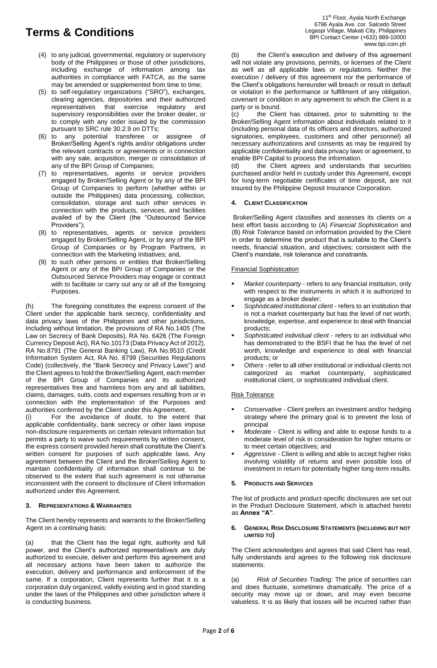- (4) to any judicial, governmental, regulatory or supervisory body of the Philippines or those of other jurisdictions, including exchange of information among tax authorities in compliance with FATCA, as the same may be amended or supplemented from time to time;
- (5) to self-regulatory organizations ("SRO"), exchanges, clearing agencies, depositories and their authorized representatives that exercise regulatory and supervisory responsibilities over the broker dealer, or to comply with any order issued by the commission pursuant to SRC rule 30.2.9 on DTTs;
- (6) to any potential transferee or assignee of Broker/Selling Agent's rights and/or obligations under the relevant contracts or agreements or in connection with any sale, acquisition, merger or consolidation of any of the BPI Group of Companies;
- (7) to representatives, agents or service providers engaged by Broker/Selling Agent or by any of the BPI Group of Companies to perform (whether within or outside the Philippines) data processing, collection, consolidation, storage and such other services in connection with the products, services, and facilities availed of by the Client (the "Outsourced Service Providers");
- (8) to representatives, agents or service providers engaged by Broker/Selling Agent, or by any of the BPI Group of Companies or by Program Partners, in connection with the Marketing Initiatives; and,
- (9) to such other persons or entities that Broker/Selling Agent or any of the BPI Group of Companies or the Outsourced Service Providers may engage or contract with to facilitate or carry out any or all of the foregoing Purposes.

(h) The foregoing constitutes the express consent of the Client under the applicable bank secrecy, confidentiality and data privacy laws of the Philippines and other jurisdictions, Including without limitation, the provisions of RA No.1405 (The Law on Secrecy of Bank Deposits), RA No. 6426 (The Foreign Currency Deposit Act), RA No.10173 (Data Privacy Act of 2012), RA No.8791 (The General Banking Law), RA No.9510 (Credit Information System Act, RA No. 8799 (Securities Regulations Code) (collectively, the "Bank Secrecy and Privacy Laws") and the Client agrees to hold the Broker/Selling Agent, each member of the BPI Group of Companies and its authorized representatives free and harmless from any and all liabilities, claims, damages, suits, costs and expenses resulting from or in connection with the implementation of the Purposes and authorities conferred by the Client under this Agreement.

(i) For the avoidance of doubt, to the extent that applicable confidentiality, bank secrecy or other laws impose non-disclosure requirements on certain relevant information but permits a party to waive such requirements by written consent, the express consent provided herein shall constitute the Client's written consent for purposes of such applicable laws. Any agreement between the Client and the Broker/Selling Agent to maintain confidentiality of information shall continue to be observed to the extent that such agreement is not otherwise inconsistent with the consent to disclosure of Client Information authorized under this Agreement.

## **3. REPRESENTATIONS & WARRANTIES**

The Client hereby represents and warrants to the Broker/Selling Agent on a continuing basis:

(a) that the Client has the legal right, authority and full power, and the Client's authorized representative/s are duly authorized to execute, deliver and perform this agreement and all necessary actions have been taken to authorize the execution, delivery and performance and enforcement of the same. If a corporation, Client represents further that it is a corporation duly organized, validly existing and in good standing under the laws of the Philippines and other jurisdiction where it is conducting business.

11<sup>th</sup> Floor, Ayala North Exchange 6796 Ayala Ave. cor. Salcedo Street Legaspi Village, Makati City, Philippines BPI Contact Center (+632) 889-10000 www.bpi.com.ph

(b) the Client's execution and delivery of this agreement will not violate any provisions, permits, or licenses of the Client as well as all applicable laws or regulations. Neither the execution / delivery of this agreement nor the performance of the Client's obligations hereunder will breach or result in default or violation in the performance or fulfillment of any obligation, covenant or condition in any agreement to which the Client is a party or is bound.

(c) the Client has obtained, prior to submitting to the Broker/Selling Agent information about individuals related to it (including personal data of its officers and directors, authorized signatories, employees, customers and other personnel) all necessary authorizations and consents as may be required by applicable confidentiality and data privacy laws or agreement, to enable BPI Capital to process the information.

(d) the Client agrees and understands that securities purchased and/or held in custody under this Agreement, except for long-term negotiable certificates of time deposit, are not insured by the Philippine Deposit Insurance Corporation.

## **4. CLIENT CLASSIFICATION**

Broker/Selling Agent classifies and assesses its clients on a best effort basis according to (A) *Financial Sophistication* and (B) *Risk Tolerance* based on information provided by the Client in order to determine the product that is suitable to the Client's needs, financial situation, and objectives; consistent with the Client's mandate, risk tolerance and constraints.

## Financial Sophistication

- *Market counterparty* refers to any financial institution, only with respect to the instruments in which it is authorized to engage as a broker dealer;
- *Sophisticated institutional client* refers to an institution that is not a market counterparty but has the level of net worth, knowledge, expertise, and experience to deal with financial products;
- *Sophisticated individual client* refers to an individual who has demonstrated to the BSFI that he has the level of net worth, knowledge and experience to deal with financial products; or
- *Others* refer to all other institutional or individual clients not categorized as market counterparty, sophisticated institutional client, or sophisticated individual client.

## Risk Tolerance

- *Conservative* Client prefers an investment and/or hedging strategy where the primary goal is to prevent the loss of principal
- *Moderate* Client is willing and able to expose funds to a moderate level of risk in consideration for higher returns or to meet certain objectives; and
- *Aggressive* Client is willing and able to accept higher risks involving volatility of returns and even possible loss of investment in return for potentially higher long-term results.

## **5. PRODUCTS AND SERVICES**

The list of products and product-specific disclosures are set out in the Product Disclosure Statement, which is attached hereto as **Annex "A"**.

### **6. GENERAL RISK DISCLOSURE STATEMENTS (INCLUDING BUT NOT LIMITED TO)**

The Client acknowledges and agrees that said Client has read, fully understands and agrees to the following risk disclosure statements.

(a) *Risk of Securities Trading*: The price of securities can and does fluctuate, sometimes dramatically. The price of a security may move up or down, and may even become valueless. It is as likely that losses will be incurred rather than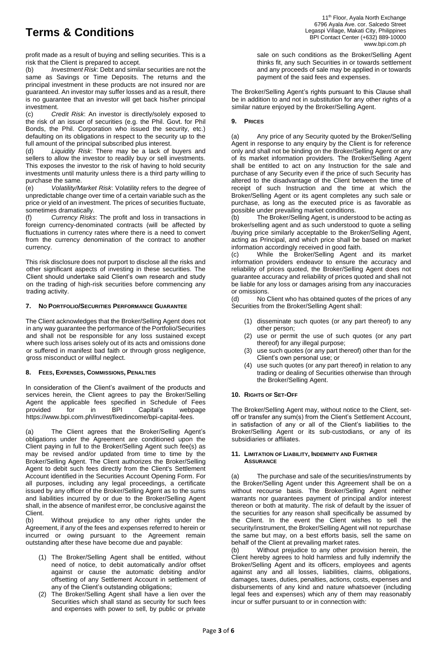profit made as a result of buying and selling securities. This is a risk that the Client is prepared to accept.

(b) *Investment Risk*: Debt and similar securities are not the same as Savings or Time Deposits. The returns and the principal investment in these products are not insured nor are guaranteed. An investor may suffer losses and as a result, there is no guarantee that an investor will get back his/her principal investment.

(c) *Credit Risk*: An investor is directly/solely exposed to the risk of an issuer of securities (e.g. the Phil. Govt. for Phil Bonds, the Phil. Corporation who issued the security, etc.) defaulting on its obligations in respect to the security up to the full amount of the principal subscribed plus interest.

(d) *Liquidity Risk*: There may be a lack of buyers and sellers to allow the investor to readily buy or sell investments. This exposes the investor to the risk of having to hold security investments until maturity unless there is a third party willing to purchase the same.

(e) *Volatility/Market Risk*: Volatility refers to the degree of unpredictable change over time of a certain variable such as the price or yield of an investment. The prices of securities fluctuate, sometimes dramatically.

(f) *Currency Risks*: The profit and loss in transactions in foreign currency-denominated contracts (will be affected by fluctuations in currency rates where there is a need to convert from the currency denomination of the contract to another currency.

This risk disclosure does not purport to disclose all the risks and other significant aspects of investing in these securities. The Client should undertake said Client's own research and study on the trading of high-risk securities before commencing any trading activity.

## **7. NO PORTFOLIO/SECURITIES PERFORMANCE GUARANTEE**

The Client acknowledges that the Broker/Selling Agent does not in any way guarantee the performance of the Portfolio/Securities and shall not be responsible for any loss sustained except where such loss arises solely out of its acts and omissions done or suffered in manifest bad faith or through gross negligence, gross misconduct or willful neglect.

## **8. FEES, EXPENSES, COMMISSIONS, PENALTIES**

In consideration of the Client's availment of the products and services herein, the Client agrees to pay the Broker/Selling Agent the applicable fees specified in Schedule of Fees provided for in BPI Capital's webpage https://www.bpi.com.ph/invest/fixedincome/bpi-capital-fees.

(a) The Client agrees that the Broker/Selling Agent's obligations under the Agreement are conditioned upon the Client paying in full to the Broker/Selling Agent such fee(s) as may be revised and/or updated from time to time by the Broker/Selling Agent. The Client authorizes the Broker/Selling Agent to debit such fees directly from the Client's Settlement Account identified in the Securities Account Opening Form. For all purposes, including any legal proceedings, a certificate issued by any officer of the Broker/Selling Agent as to the sums and liabilities incurred by or due to the Broker/Selling Agent shall, in the absence of manifest error, be conclusive against the Client.

(b) Without prejudice to any other rights under the Agreement, if any of the fees and expenses referred to herein or incurred or owing pursuant to the Agreement remain outstanding after these have become due and payable:

- (1) The Broker/Selling Agent shall be entitled, without need of notice, to debit automatically and/or offset against or cause the automatic debiting and/or offsetting of any Settlement Account in settlement of any of the Client's outstanding obligations;
- (2) The Broker/Selling Agent shall have a lien over the Securities which shall stand as security for such fees and expenses with power to sell, by public or private

sale on such conditions as the Broker/Selling Agent thinks fit, any such Securities in or towards settlement and any proceeds of sale may be applied in or towards payment of the said fees and expenses.

The Broker/Selling Agent's rights pursuant to this Clause shall be in addition to and not in substitution for any other rights of a similar nature enjoyed by the Broker/Selling Agent.

## **9. PRICES**

(a) Any price of any Security quoted by the Broker/Selling Agent in response to any enquiry by the Client is for reference only and shall not be binding on the Broker/Selling Agent or any of its market information providers. The Broker/Selling Agent shall be entitled to act on any Instruction for the sale and purchase of any Security even if the price of such Security has altered to the disadvantage of the Client between the time of receipt of such Instruction and the time at which the Broker/Selling Agent or its agent completes any such sale or purchase, as long as the executed price is as favorable as possible under prevailing market conditions.

(b) The Broker/Selling Agent, is understood to be acting as broker/selling agent and as such understood to quote a selling /buying price similarly acceptable to the Broker/Selling Agent, acting as Principal, and which price shall be based on market information accordingly received in good faith.

(c) While the Broker/Selling Agent and its market information providers endeavor to ensure the accuracy and reliability of prices quoted, the Broker/Selling Agent does not guarantee accuracy and reliability of prices quoted and shall not be liable for any loss or damages arising from any inaccuracies or omissions.

(d) No Client who has obtained quotes of the prices of any Securities from the Broker/Selling Agent shall:

- (1) disseminate such quotes (or any part thereof) to any other person;
- (2) use or permit the use of such quotes (or any part thereof) for any illegal purpose;
- (3) use such quotes (or any part thereof) other than for the Client's own personal use; or
- (4) use such quotes (or any part thereof) in relation to any trading or dealing of Securities otherwise than through the Broker/Selling Agent.

## **10. RIGHTS OF SET-OFF**

The Broker/Selling Agent may, without notice to the Client, setoff or transfer any sum(s) from the Client's Settlement Account, in satisfaction of any or all of the Client's liabilities to the Broker/Selling Agent or its sub-custodians, or any of its subsidiaries or affiliates.

#### **11. LIMITATION OF LIABILITY, INDEMNITY AND FURTHER ASSURANCE**

(a) The purchase and sale of the securities/instruments by the Broker/Selling Agent under this Agreement shall be on a without recourse basis. The Broker/Selling Agent neither warrants nor guarantees payment of principal and/or interest thereon or both at maturity. The risk of default by the issuer of the securities for any reason shall specifically be assumed by the Client. In the event the Client wishes to sell the security/instrument, the Broker/Selling Agent will not repurchase the same but may, on a best efforts basis, sell the same on behalf of the Client at prevailing market rates.

(b) Without prejudice to any other provision herein, the Client hereby agrees to hold harmless and fully indemnify the Broker/Selling Agent and its officers, employees and agents against any and all losses, liabilities, claims, obligations, damages, taxes, duties, penalties, actions, costs, expenses and disbursements of any kind and nature whatsoever (including legal fees and expenses) which any of them may reasonably incur or suffer pursuant to or in connection with: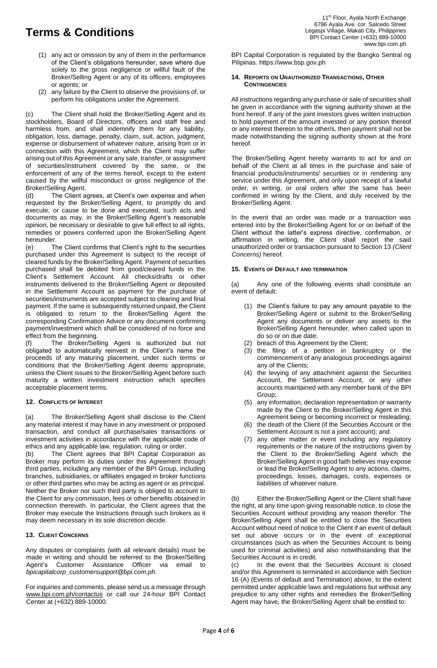- (1) any act or omission by any of them in the performance of the Client's obligations hereunder, save where due solely to the gross negligence or willful fault of the Broker/Selling Agent or any of its officers, employees or agents; or
- (2) any failure by the Client to observe the provisions of, or perform his obligations under the Agreement.

(c) The Client shall hold the Broker/Selling Agent and its stockholders, Board of Directors, officers and staff free and harmless from, and shall indemnify them for any liability, obligation, loss, damage, penalty, claim, suit, action, judgment, expense or disbursement of whatever nature, arising from or in connection with this Agreement, which the Client may suffer arising out of this Agreement or any sale, transfer, or assignment of securities/instrument covered by the same, or the enforcement of any of the terms hereof, except to the extent caused by the willful misconduct or gross negligence of the Broker/Selling Agent.

(d) The Client agrees, at Client's own expense and when requested by the Broker/Selling Agent, to promptly do and execute, or cause to be done and executed, such acts and documents as may, in the Broker/Selling Agent's reasonable opinion, be necessary or desirable to give full effect to all rights, remedies or powers conferred upon the Broker/Selling Agent

hereunder.<br>(e) Th The Client confirms that Client's right to the securities purchased under this Agreement is subject to the receipt of cleared funds by the Broker/Selling Agent. Payment of securities purchased shall be debited from good/cleared funds in the Client's Settlement Account. All checks/drafts or other instruments delivered to the Broker/Selling Agent or deposited in the Settlement Account as payment for the purchase of securities/instruments are accepted subject to clearing and final payment. If the same is subsequently returned unpaid, the Client is obligated to return to the Broker/Selling Agent the corresponding Confirmation Advice or any document confirming payment/investment which shall be considered of no force and effect from the beginning.

(f) The Broker/Selling Agent is authorized but not obligated to automatically reinvest in the Client's name the proceeds of any maturing placement, under such terms or conditions that the Broker/Selling Agent deems appropriate, unless the Client issues to the Broker/Selling Agent before such maturity a written investment instruction which specifies acceptable placement terms.

## **12. CONFLICTS OF INTEREST**

(a) The Broker/Selling Agent shall disclose to the Client any material interest it may have in any investment or proposed transaction, and conduct all purchase/sales transactions or investment activities in accordance with the applicable code of ethics and any applicable law, regulation, ruling or order.

(b) The Client agrees that BPI Capital Corporation as Broker may perform its duties under this Agreement through third parties, including any member of the BPI Group, including branches, subsidiaries, or affiliates engaged in broker functions or other third parties who may be acting as agent or as principal. Neither the Broker nor such third party is obliged to account to the Client for any commission, fees or other benefits obtained in connection therewith. In particular, the Client agrees that the Broker may execute the Instructions through such brokers as it may deem necessary in its sole discretion decide.

## **13. CLIENT CONCERNS**

Any disputes or complaints (with all relevant details) must be made in writing and should be referred to the Broker/Selling Agent's Customer Assistance Officer via email to *bpicapitalcorp\_customersupport@bpi.com.ph.*

For inquiries and comments, please send us a message through [www.bpi.com.ph/contactu](http://www.bpi.com.ph/contact)s or call our 24-hour BPI Contact Center at (+632) 889-10000.

BPI Capital Corporation is regulated by the Bangko Sentral ng Pilipinas. https://www.bsp.gov.ph

### **14. REPORTS ON UNAUTHORIZED TRANSACTIONS, OTHER CONTINGENCIES**

All instructions regarding any purchase or sale of securities shall be given in accordance with the signing authority shown at the front hereof. If any of the joint investors gives written instruction to hold payment of the amount invested or any portion thereof or any interest thereon to the other/s, then payment shall not be made notwithstanding the signing authority shown at the front hereof.

The Broker/Selling Agent hereby warrants to act for and on behalf of the Client at all times in the purchase and sale of financial products/instruments/ securities or in rendering any service under this Agreement, and only upon receipt of a lawful order, in writing, or oral orders after the same has been confirmed in writing by the Client, and duly received by the Broker/Selling Agent.

In the event that an order was made or a transaction was entered into by the Broker/Selling Agent for or on behalf of the Client without the latter's express directive, confirmation, or affirmation in writing, the Client shall report the said unauthorized order or transaction pursuant to Section 13 *(Client Concerns)* hereof.

## **15. EVENTS OF DEFAULT AND TERMINATION**

(a) Any one of the following events shall constitute an event of default:

- (1) the Client's failure to pay any amount payable to the Broker/Selling Agent or submit to the Broker/Selling Agent any documents or deliver any assets to the Broker/Selling Agent hereunder, when called upon to do so or on due date;
- (2) breach of this Agreement by the Client;
- (3) the filing of a petition in bankruptcy or the commencement of any analogous proceedings against any of the Clients;
- (4) the levying of any attachment against the Securities Account, the Settlement Account, or any other accounts maintained with any member bank of the BPI Group;
- (5) any information, declaration representation or warranty made by the Client to the Broker/Selling Agent in this Agreement being or becoming incorrect or misleading;
- (6) the death of the Client (if the Securities Account or the Settlement Account is not a joint account); and
- (7) any other matter or event including any regulatory requirements or the nature of the instructions given by the Client to the Broker/Selling Agent which the Broker/Selling Agent in good faith believes may expose or lead the Broker/Selling Agent to any actions, claims, proceedings, losses, damages, costs, expenses or liabilities of whatever nature.

(b) Either the Broker/Selling Agent or the Client shall have the right, at any time upon giving reasonable notice, to close the Securities Account without providing any reason therefor. The Broker/Selling Agent shall be entitled to close the Securities Account without need of notice to the Client if an event of default set out above occurs or in the event of exceptional circumstances (such as when the Securities Account is being used for criminal activities) and also notwithstanding that the Securities Account is in credit.

In the event that the Securities Account is closed and/or this Agreement is terminated in accordance with Section 16 (A) (Events of default and Termination) above, to the extent permitted under applicable laws and regulations but without any prejudice to any other rights and remedies the Broker/Selling Agent may have, the Broker/Selling Agent shall be entitled to: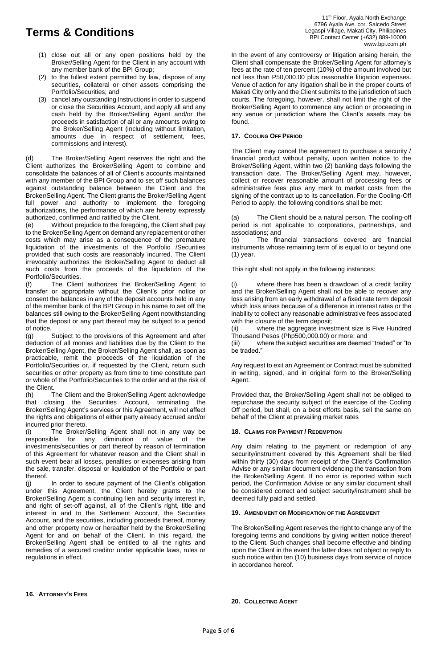- (1) close out all or any open positions held by the Broker/Selling Agent for the Client in any account with any member bank of the BPI Group;
- (2) to the fullest extent permitted by law, dispose of any securities, collateral or other assets comprising the Portfolio/Securities; and
- (3) cancel any outstanding Instructions in order to suspend or close the Securities Account, and apply all and any cash held by the Broker/Selling Agent and/or the proceeds in satisfaction of all or any amounts owing to the Broker/Selling Agent (including without limitation, amounts due in respect of settlement, fees, commissions and interest).

(d) The Broker/Selling Agent reserves the right and the Client authorizes the Broker/Selling Agent to combine and consolidate the balances of all of Client's accounts maintained with any member of the BPI Group and to set off such balances against outstanding balance between the Client and the Broker/Selling Agent. The Client grants the Broker/Selling Agent full power and authority to implement the foregoing authorizations, the performance of which are hereby expressly authorized, confirmed and ratified by the Client.

(e) Without prejudice to the foregoing, the Client shall pay to the Broker/Selling Agent on demand any replacement or other costs which may arise as a consequence of the premature liquidation of the investments of the Portfolio /Securities provided that such costs are reasonably incurred. The Client irrevocably authorizes the Broker/Selling Agent to deduct all such costs from the proceeds of the liquidation of the Portfolio/Securities.

(f) The Client authorizes the Broker/Selling Agent to transfer or appropriate without the Client's prior notice or consent the balances in any of the deposit accounts held in any of the member bank of the BPI Group in his name to set off the balances still owing to the Broker/Selling Agent notwithstanding that the deposit or any part thereof may be subject to a period of notice.

(g) Subject to the provisions of this Agreement and after deduction of all monies and liabilities due by the Client to the Broker/Selling Agent, the Broker/Selling Agent shall, as soon as practicable, remit the proceeds of the liquidation of the Portfolio/Securities or, if requested by the Client, return such securities or other property as from time to time constitute part or whole of the Portfolio/Securities to the order and at the risk of the Client.

(h) The Client and the Broker/Selling Agent acknowledge that closing the Securities Account, terminating the Broker/Selling Agent's services or this Agreement, will not affect the rights and obligations of either party already accrued and/or incurred prior thereto.

(i) The Broker/Selling Agent shall not in any way be responsible for any diminution of value of the investments/securities or part thereof by reason of termination of this Agreement for whatever reason and the Client shall in such event bear all losses, penalties or expenses arising from the sale, transfer, disposal or liquidation of the Portfolio or part thereof.

(j) In order to secure payment of the Client's obligation under this Agreement, the Client hereby grants to the Broker/Selling Agent a continuing lien and security interest in, and right of set-off against, all of the Client's right, title and interest in and to the Settlement Account, the Securities Account, and the securities, including proceeds thereof, money and other property now or hereafter held by the Broker/Selling Agent for and on behalf of the Client. In this regard, the Broker/Selling Agent shall be entitled to all the rights and remedies of a secured creditor under applicable laws, rules or regulations in effect.

In the event of any controversy or litigation arising herein, the Client shall compensate the Broker/Selling Agent for attorney's fees at the rate of ten percent (10%) of the amount involved but not less than P50,000.00 plus reasonable litigation expenses. Venue of action for any litigation shall be in the proper courts of Makati City only and the Client submits to the jurisdiction of such courts. The foregoing, however, shall not limit the right of the Broker/Selling Agent to commence any action or proceeding in any venue or jurisdiction where the Client's assets may be found.

## **17. COOLING OFF PERIOD**

The Client may cancel the agreement to purchase a security / financial product without penalty, upon written notice to the Broker/Selling Agent, within two (2) banking days following the transaction date. The Broker/Selling Agent may, however, collect or recover reasonable amount of processing fees or administrative fees plus any mark to market costs from the signing of the contract up to its cancellation. For the Cooling-Off Period to apply, the following conditions shall be met:

(a) The Client should be a natural person. The cooling-off period is not applicable to corporations, partnerships, and associations; and

(b) The financial transactions covered are financial instruments whose remaining term of is equal to or beyond one (1) year.

This right shall not apply in the following instances:

where there has been a drawdown of a credit facility and the Broker/Selling Agent shall not be able to recover any loss arising from an early withdrawal of a fixed rate term deposit which loss arises because of a difference in interest rates or the inability to collect any reasonable administrative fees associated with the closure of the term deposit;

(ii) where the aggregate investment size is Five Hundred Thousand Pesos (Php500,000.00) or more; and

(iii) where the subject securities are deemed "traded" or "to be traded."

Any request to exit an Agreement or Contract must be submitted in writing, signed, and in original form to the Broker/Selling Agent.

Provided that, the Broker/Selling Agent shall not be obliged to repurchase the security subject of the exercise of the Cooling Off period, but shall, on a best efforts basis, sell the same on behalf of the Client at prevailing market rates

## **18. CLAIMS FOR PAYMENT / REDEMPTION**

Any claim relating to the payment or redemption of any security/instrument covered by this Agreement shall be filed within thirty (30) days from receipt of the Client's Confirmation Advise or any similar document evidencing the transaction from the Broker/Selling Agent. If no error is reported within such period, the Confirmation Advise or any similar document shall be considered correct and subject security/instrument shall be deemed fully paid and settled.

### **19. AMENDMENT OR MODIFICATION OF THE AGREEMENT**

The Broker/Selling Agent reserves the right to change any of the foregoing terms and conditions by giving written notice thereof to the Client. Such changes shall become effective and binding upon the Client in the event the latter does not object or reply to such notice within ten (10) business days from service of notice in accordance hereof.

#### **16. ATTORNEY'S FEES**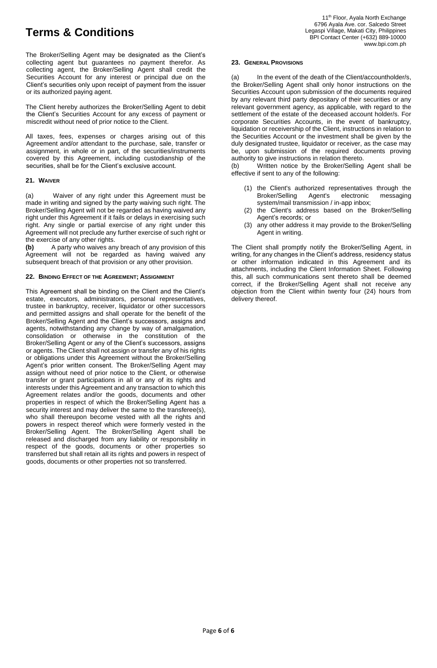The Broker/Selling Agent may be designated as the Client's collecting agent but guarantees no payment therefor. As collecting agent, the Broker/Selling Agent shall credit the Securities Account for any interest or principal due on the Client's securities only upon receipt of payment from the issuer or its authorized paying agent.

The Client hereby authorizes the Broker/Selling Agent to debit the Client's Securities Account for any excess of payment or miscredit without need of prior notice to the Client.

All taxes, fees, expenses or charges arising out of this Agreement and/or attendant to the purchase, sale, transfer or assignment, in whole or in part, of the securities/instruments covered by this Agreement, including custodianship of the securities, shall be for the Client's exclusive account.

## **21. WAIVER**

(a) Waiver of any right under this Agreement must be made in writing and signed by the party waiving such right. The Broker/Selling Agent will not be regarded as having waived any right under this Agreement if it fails or delays in exercising such right. Any single or partial exercise of any right under this Agreement will not preclude any further exercise of such right or the exercise of any other rights.

**(b)** A party who waives any breach of any provision of this Agreement will not be regarded as having waived any subsequent breach of that provision or any other provision.

## **22. BINDING EFFECT OF THE AGREEMENT; ASSIGNMENT**

This Agreement shall be binding on the Client and the Client's estate, executors, administrators, personal representatives, trustee in bankruptcy, receiver, liquidator or other successors and permitted assigns and shall operate for the benefit of the Broker/Selling Agent and the Client's successors, assigns and agents, notwithstanding any change by way of amalgamation, consolidation or otherwise in the constitution of the Broker/Selling Agent or any of the Client's successors, assigns or agents. The Client shall not assign or transfer any of his rights or obligations under this Agreement without the Broker/Selling Agent's prior written consent. The Broker/Selling Agent may assign without need of prior notice to the Client, or otherwise transfer or grant participations in all or any of its rights and interests under this Agreement and any transaction to which this Agreement relates and/or the goods, documents and other properties in respect of which the Broker/Selling Agent has a security interest and may deliver the same to the transferee(s), who shall thereupon become vested with all the rights and powers in respect thereof which were formerly vested in the Broker/Selling Agent. The Broker/Selling Agent shall be released and discharged from any liability or responsibility in respect of the goods, documents or other properties so transferred but shall retain all its rights and powers in respect of goods, documents or other properties not so transferred.

### **23. GENERAL PROVISIONS**

(a) In the event of the death of the Client/accountholder/s, the Broker/Selling Agent shall only honor instructions on the Securities Account upon submission of the documents required by any relevant third party depositary of their securities or any relevant government agency, as applicable, with regard to the settlement of the estate of the deceased account holder/s. For corporate Securities Accounts, in the event of bankruptcy, liquidation or receivership of the Client, instructions in relation to the Securities Account or the investment shall be given by the duly designated trustee, liquidator or receiver, as the case may be, upon submission of the required documents proving authority to give instructions in relation thereto.

(b) Written notice by the Broker/Selling Agent shall be effective if sent to any of the following:

- (1) the Client's authorized representatives through the Broker/Selling Agent's electronic messaging system/mail transmission / in-app inbox;
- (2) the Client's address based on the Broker/Selling Agent's records; or
- (3) any other address it may provide to the Broker/Selling Agent in writing.

The Client shall promptly notify the Broker/Selling Agent, in writing, for any changes in the Client's address, residency status or other information indicated in this Agreement and its attachments, including the Client Information Sheet. Following this, all such communications sent thereto shall be deemed correct, if the Broker/Selling Agent shall not receive any objection from the Client within twenty four (24) hours from delivery thereof.